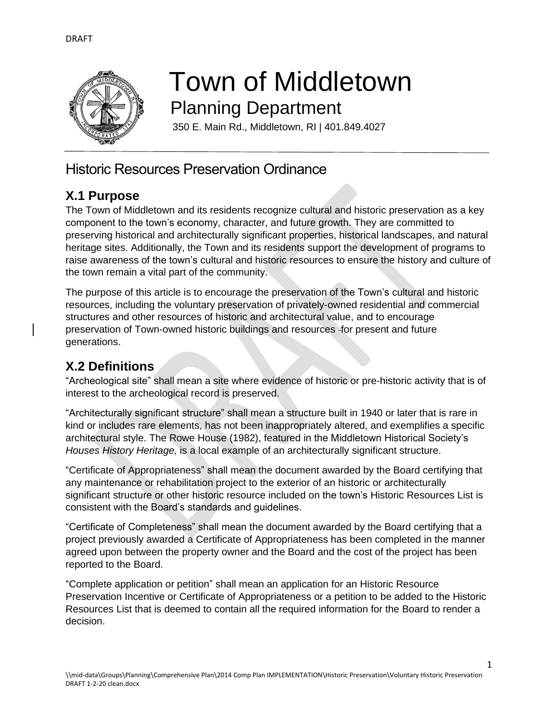

# Town of Middletown Planning Department

350 E. Main Rd., Middletown, RI | 401.849.4027

# Historic Resources Preservation Ordinance

## **X.1 Purpose**

The Town of Middletown and its residents recognize cultural and historic preservation as a key component to the town's economy, character, and future growth. They are committed to preserving historical and architecturally significant properties, historical landscapes, and natural heritage sites. Additionally, the Town and its residents support the development of programs to raise awareness of the town's cultural and historic resources to ensure the history and culture of the town remain a vital part of the community.

The purpose of this article is to encourage the preservation of the Town's cultural and historic resources, including the voluntary preservation of privately-owned residential and commercial structures and other resources of historic and architectural value, and to encourage preservation of Town-owned historic buildings and resources for present and future generations.

# **X.2 Definitions**

"Archeological site" shall mean a site where evidence of historic or pre-historic activity that is of interest to the archeological record is preserved.

"Architecturally significant structure" shall mean a structure built in 1940 or later that is rare in kind or includes rare elements, has not been inappropriately altered, and exemplifies a specific architectural style. The Rowe House (1982), featured in the Middletown Historical Society's *Houses History Heritage,* is a local example of an architecturally significant structure.

"Certificate of Appropriateness" shall mean the document awarded by the Board certifying that any maintenance or rehabilitation project to the exterior of an historic or architecturally significant structure or other historic resource included on the town's Historic Resources List is consistent with the Board's standards and guidelines.

"Certificate of Completeness" shall mean the document awarded by the Board certifying that a project previously awarded a Certificate of Appropriateness has been completed in the manner agreed upon between the property owner and the Board and the cost of the project has been reported to the Board.

"Complete application or petition" shall mean an application for an Historic Resource Preservation Incentive or Certificate of Appropriateness or a petition to be added to the Historic Resources List that is deemed to contain all the required information for the Board to render a decision.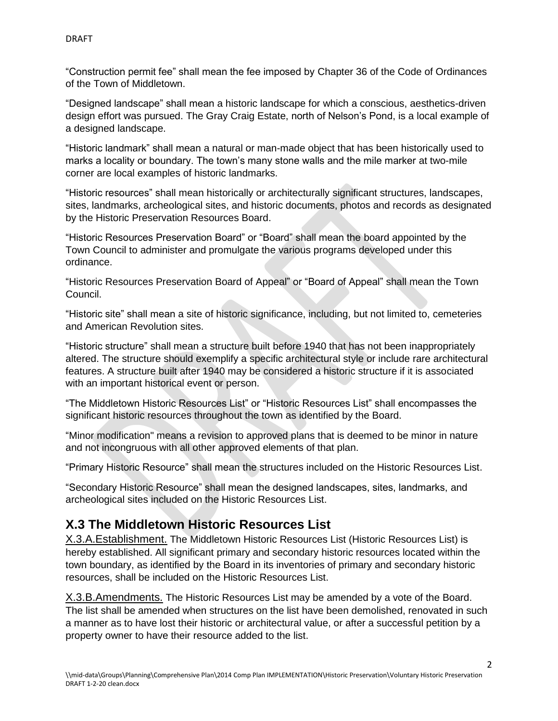"Construction permit fee" shall mean the fee imposed by Chapter 36 of the Code of Ordinances of the Town of Middletown.

"Designed landscape" shall mean a historic landscape for which a conscious, aesthetics-driven design effort was pursued. The Gray Craig Estate, north of Nelson's Pond, is a local example of a designed landscape.

"Historic landmark" shall mean a natural or man-made object that has been historically used to marks a locality or boundary. The town's many stone walls and the mile marker at two-mile corner are local examples of historic landmarks.

"Historic resources" shall mean historically or architecturally significant structures, landscapes, sites, landmarks, archeological sites, and historic documents, photos and records as designated by the Historic Preservation Resources Board.

"Historic Resources Preservation Board" or "Board" shall mean the board appointed by the Town Council to administer and promulgate the various programs developed under this ordinance.

"Historic Resources Preservation Board of Appeal" or "Board of Appeal" shall mean the Town Council.

"Historic site" shall mean a site of historic significance, including, but not limited to, cemeteries and American Revolution sites.

"Historic structure" shall mean a structure built before 1940 that has not been inappropriately altered. The structure should exemplify a specific architectural style or include rare architectural features. A structure built after 1940 may be considered a historic structure if it is associated with an important historical event or person.

"The Middletown Historic Resources List" or "Historic Resources List" shall encompasses the significant historic resources throughout the town as identified by the Board.

"Minor modification" means a revision to approved plans that is deemed to be minor in nature and not incongruous with all other approved elements of that plan.

"Primary Historic Resource" shall mean the structures included on the Historic Resources List.

"Secondary Historic Resource" shall mean the designed landscapes, sites, landmarks, and archeological sites included on the Historic Resources List.

#### **X.3 The Middletown Historic Resources List**

X.3.A.Establishment. The Middletown Historic Resources List (Historic Resources List) is hereby established. All significant primary and secondary historic resources located within the town boundary, as identified by the Board in its inventories of primary and secondary historic resources, shall be included on the Historic Resources List.

X.3.B.Amendments. The Historic Resources List may be amended by a vote of the Board. The list shall be amended when structures on the list have been demolished, renovated in such a manner as to have lost their historic or architectural value, or after a successful petition by a property owner to have their resource added to the list.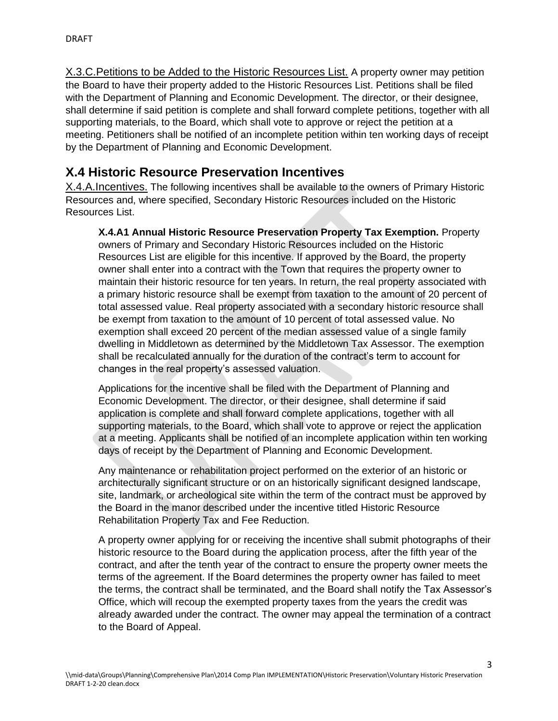X.3.C. Petitions to be Added to the Historic Resources List. A property owner may petition the Board to have their property added to the Historic Resources List. Petitions shall be filed with the Department of Planning and Economic Development. The director, or their designee, shall determine if said petition is complete and shall forward complete petitions, together with all supporting materials, to the Board, which shall vote to approve or reject the petition at a meeting. Petitioners shall be notified of an incomplete petition within ten working days of receipt by the Department of Planning and Economic Development.

## **X.4 Historic Resource Preservation Incentives**

X.4.A.Incentives. The following incentives shall be available to the owners of Primary Historic Resources and, where specified, Secondary Historic Resources included on the Historic Resources List.

**X.4.A1 Annual Historic Resource Preservation Property Tax Exemption.** Property owners of Primary and Secondary Historic Resources included on the Historic Resources List are eligible for this incentive. If approved by the Board, the property owner shall enter into a contract with the Town that requires the property owner to maintain their historic resource for ten years. In return, the real property associated with a primary historic resource shall be exempt from taxation to the amount of 20 percent of total assessed value. Real property associated with a secondary historic resource shall be exempt from taxation to the amount of 10 percent of total assessed value. No exemption shall exceed 20 percent of the median assessed value of a single family dwelling in Middletown as determined by the Middletown Tax Assessor. The exemption shall be recalculated annually for the duration of the contract's term to account for changes in the real property's assessed valuation.

Applications for the incentive shall be filed with the Department of Planning and Economic Development. The director, or their designee, shall determine if said application is complete and shall forward complete applications, together with all supporting materials, to the Board, which shall vote to approve or reject the application at a meeting. Applicants shall be notified of an incomplete application within ten working days of receipt by the Department of Planning and Economic Development.

Any maintenance or rehabilitation project performed on the exterior of an historic or architecturally significant structure or on an historically significant designed landscape, site, landmark, or archeological site within the term of the contract must be approved by the Board in the manor described under the incentive titled Historic Resource Rehabilitation Property Tax and Fee Reduction.

A property owner applying for or receiving the incentive shall submit photographs of their historic resource to the Board during the application process, after the fifth year of the contract, and after the tenth year of the contract to ensure the property owner meets the terms of the agreement. If the Board determines the property owner has failed to meet the terms, the contract shall be terminated, and the Board shall notify the Tax Assessor's Office, which will recoup the exempted property taxes from the years the credit was already awarded under the contract. The owner may appeal the termination of a contract to the Board of Appeal.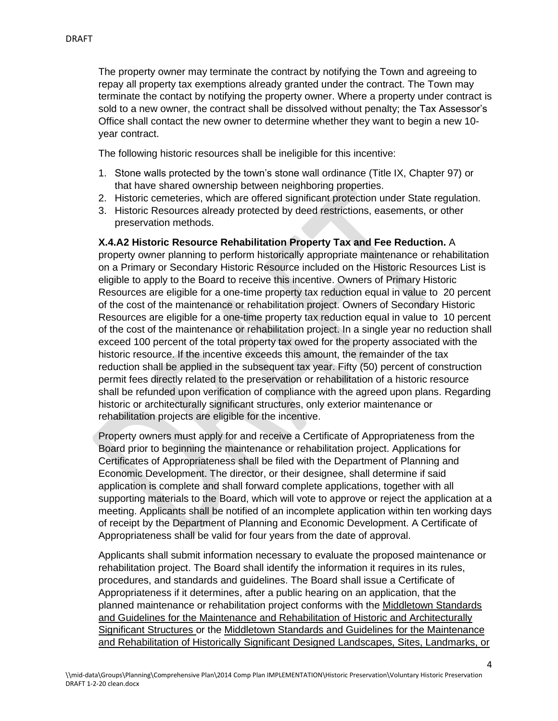The property owner may terminate the contract by notifying the Town and agreeing to repay all property tax exemptions already granted under the contract. The Town may terminate the contact by notifying the property owner. Where a property under contract is sold to a new owner, the contract shall be dissolved without penalty; the Tax Assessor's Office shall contact the new owner to determine whether they want to begin a new 10 year contract.

The following historic resources shall be ineligible for this incentive:

- 1. Stone walls protected by the town's stone wall ordinance (Title IX, Chapter 97) or that have shared ownership between neighboring properties.
- 2. Historic cemeteries, which are offered significant protection under State regulation.
- 3. Historic Resources already protected by deed restrictions, easements, or other preservation methods.

#### **X.4.A2 Historic Resource Rehabilitation Property Tax and Fee Reduction.** A

property owner planning to perform historically appropriate maintenance or rehabilitation on a Primary or Secondary Historic Resource included on the Historic Resources List is eligible to apply to the Board to receive this incentive. Owners of Primary Historic Resources are eligible for a one-time property tax reduction equal in value to 20 percent of the cost of the maintenance or rehabilitation project. Owners of Secondary Historic Resources are eligible for a one-time property tax reduction equal in value to 10 percent of the cost of the maintenance or rehabilitation project. In a single year no reduction shall exceed 100 percent of the total property tax owed for the property associated with the historic resource. If the incentive exceeds this amount, the remainder of the tax reduction shall be applied in the subsequent tax year. Fifty (50) percent of construction permit fees directly related to the preservation or rehabilitation of a historic resource shall be refunded upon verification of compliance with the agreed upon plans. Regarding historic or architecturally significant structures, only exterior maintenance or rehabilitation projects are eligible for the incentive.

Property owners must apply for and receive a Certificate of Appropriateness from the Board prior to beginning the maintenance or rehabilitation project. Applications for Certificates of Appropriateness shall be filed with the Department of Planning and Economic Development. The director, or their designee, shall determine if said application is complete and shall forward complete applications, together with all supporting materials to the Board, which will vote to approve or reject the application at a meeting. Applicants shall be notified of an incomplete application within ten working days of receipt by the Department of Planning and Economic Development. A Certificate of Appropriateness shall be valid for four years from the date of approval.

Applicants shall submit information necessary to evaluate the proposed maintenance or rehabilitation project. The Board shall identify the information it requires in its rules, procedures, and standards and guidelines. The Board shall issue a Certificate of Appropriateness if it determines, after a public hearing on an application, that the planned maintenance or rehabilitation project conforms with the Middletown Standards and Guidelines for the Maintenance and Rehabilitation of Historic and Architecturally Significant Structures or the Middletown Standards and Guidelines for the Maintenance and Rehabilitation of Historically Significant Designed Landscapes, Sites, Landmarks, or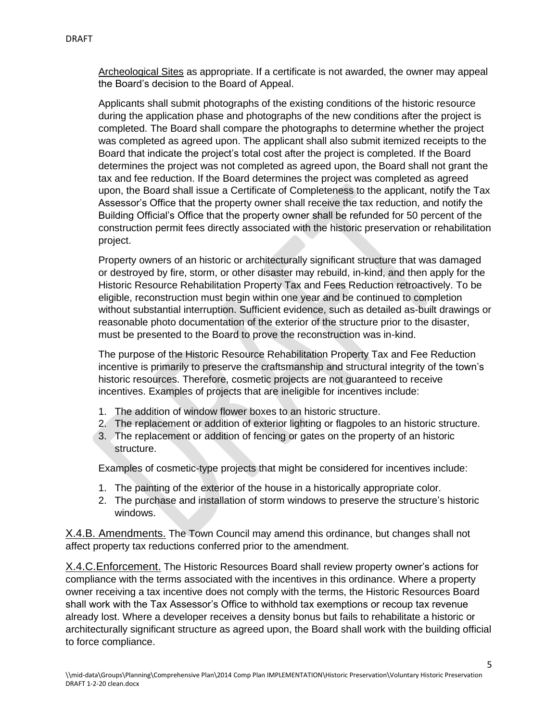Archeological Sites as appropriate. If a certificate is not awarded, the owner may appeal the Board's decision to the Board of Appeal.

Applicants shall submit photographs of the existing conditions of the historic resource during the application phase and photographs of the new conditions after the project is completed. The Board shall compare the photographs to determine whether the project was completed as agreed upon. The applicant shall also submit itemized receipts to the Board that indicate the project's total cost after the project is completed. If the Board determines the project was not completed as agreed upon, the Board shall not grant the tax and fee reduction. If the Board determines the project was completed as agreed upon, the Board shall issue a Certificate of Completeness to the applicant, notify the Tax Assessor's Office that the property owner shall receive the tax reduction, and notify the Building Official's Office that the property owner shall be refunded for 50 percent of the construction permit fees directly associated with the historic preservation or rehabilitation project.

Property owners of an historic or architecturally significant structure that was damaged or destroyed by fire, storm, or other disaster may rebuild, in-kind, and then apply for the Historic Resource Rehabilitation Property Tax and Fees Reduction retroactively. To be eligible, reconstruction must begin within one year and be continued to completion without substantial interruption. Sufficient evidence, such as detailed as-built drawings or reasonable photo documentation of the exterior of the structure prior to the disaster, must be presented to the Board to prove the reconstruction was in-kind.

The purpose of the Historic Resource Rehabilitation Property Tax and Fee Reduction incentive is primarily to preserve the craftsmanship and structural integrity of the town's historic resources. Therefore, cosmetic projects are not guaranteed to receive incentives. Examples of projects that are ineligible for incentives include:

- 1. The addition of window flower boxes to an historic structure.
- 2. The replacement or addition of exterior lighting or flagpoles to an historic structure.
- 3. The replacement or addition of fencing or gates on the property of an historic structure.

Examples of cosmetic-type projects that might be considered for incentives include:

- 1. The painting of the exterior of the house in a historically appropriate color.
- 2. The purchase and installation of storm windows to preserve the structure's historic windows.

X.4.B. Amendments. The Town Council may amend this ordinance, but changes shall not affect property tax reductions conferred prior to the amendment.

X.4.C. Enforcement. The Historic Resources Board shall review property owner's actions for compliance with the terms associated with the incentives in this ordinance. Where a property owner receiving a tax incentive does not comply with the terms, the Historic Resources Board shall work with the Tax Assessor's Office to withhold tax exemptions or recoup tax revenue already lost. Where a developer receives a density bonus but fails to rehabilitate a historic or architecturally significant structure as agreed upon, the Board shall work with the building official to force compliance.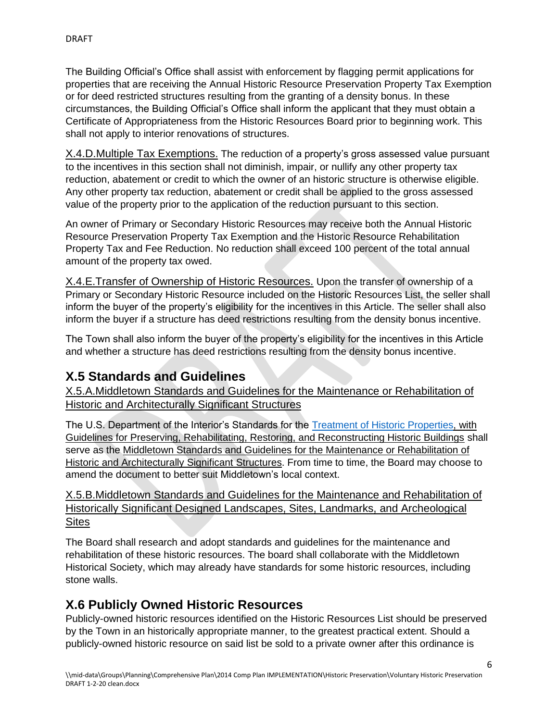The Building Official's Office shall assist with enforcement by flagging permit applications for properties that are receiving the Annual Historic Resource Preservation Property Tax Exemption or for deed restricted structures resulting from the granting of a density bonus. In these circumstances, the Building Official's Office shall inform the applicant that they must obtain a Certificate of Appropriateness from the Historic Resources Board prior to beginning work. This shall not apply to interior renovations of structures.

X.4.D.Multiple Tax Exemptions. The reduction of a property's gross assessed value pursuant to the incentives in this section shall not diminish, impair, or nullify any other property tax reduction, abatement or credit to which the owner of an historic structure is otherwise eligible. Any other property tax reduction, abatement or credit shall be applied to the gross assessed value of the property prior to the application of the reduction pursuant to this section.

An owner of Primary or Secondary Historic Resources may receive both the Annual Historic Resource Preservation Property Tax Exemption and the Historic Resource Rehabilitation Property Tax and Fee Reduction. No reduction shall exceed 100 percent of the total annual amount of the property tax owed.

X.4.E.Transfer of Ownership of Historic Resources. Upon the transfer of ownership of a Primary or Secondary Historic Resource included on the Historic Resources List, the seller shall inform the buyer of the property's eligibility for the incentives in this Article. The seller shall also inform the buyer if a structure has deed restrictions resulting from the density bonus incentive.

The Town shall also inform the buyer of the property's eligibility for the incentives in this Article and whether a structure has deed restrictions resulting from the density bonus incentive.

#### **X.5 Standards and Guidelines**

X.5.A.Middletown Standards and Guidelines for the Maintenance or Rehabilitation of Historic and Architecturally Significant Structures

The U.S. Department of the Interior's Standards for the [Treatment of Historic Properties,](https://www.nps.gov/tps/standards/treatment-guidelines-2017.pdf) with Guidelines for Preserving, Rehabilitating, Restoring, and Reconstructing Historic Buildings shall serve as the Middletown Standards and Guidelines for the Maintenance or Rehabilitation of Historic and Architecturally Significant Structures. From time to time, the Board may choose to amend the document to better suit Middletown's local context.

X.5.B.Middletown Standards and Guidelines for the Maintenance and Rehabilitation of Historically Significant Designed Landscapes, Sites, Landmarks, and Archeological **Sites** 

The Board shall research and adopt standards and guidelines for the maintenance and rehabilitation of these historic resources. The board shall collaborate with the Middletown Historical Society, which may already have standards for some historic resources, including stone walls.

#### **X.6 Publicly Owned Historic Resources**

Publicly-owned historic resources identified on the Historic Resources List should be preserved by the Town in an historically appropriate manner, to the greatest practical extent. Should a publicly-owned historic resource on said list be sold to a private owner after this ordinance is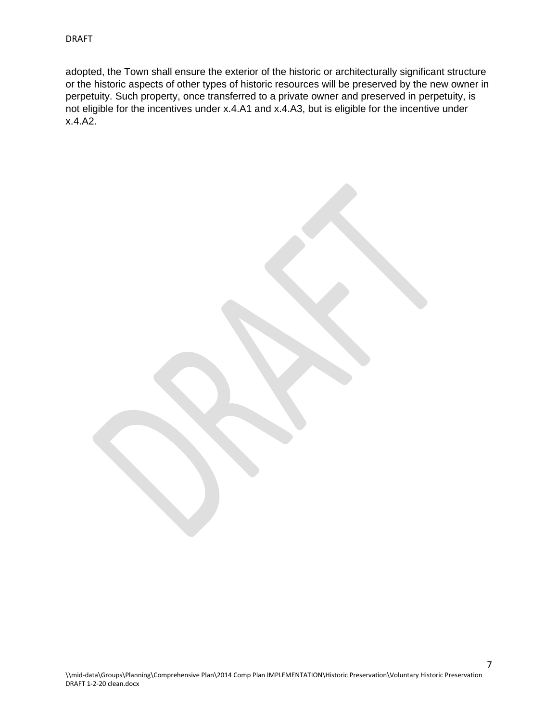adopted, the Town shall ensure the exterior of the historic or architecturally significant structure or the historic aspects of other types of historic resources will be preserved by the new owner in perpetuity. Such property, once transferred to a private owner and preserved in perpetuity, is not eligible for the incentives under x.4.A1 and x.4.A3, but is eligible for the incentive under x.4.A2.

7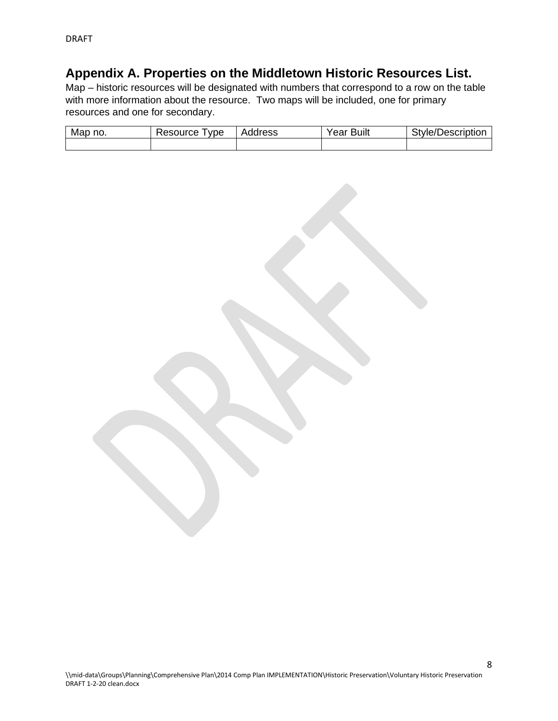### **Appendix A. Properties on the Middletown Historic Resources List.**

Map – historic resources will be designated with numbers that correspond to a row on the table with more information about the resource. Two maps will be included, one for primary resources and one for secondary.

| Map<br>no. | ⊀esource<br>vpe | ddress<br>$H_{\lambda}$ | <br>Year<br>Built | $\overline{\phantom{a}}$<br>:scription<br>itvle/<br><b>Jesc</b> |
|------------|-----------------|-------------------------|-------------------|-----------------------------------------------------------------|
|            |                 |                         |                   |                                                                 |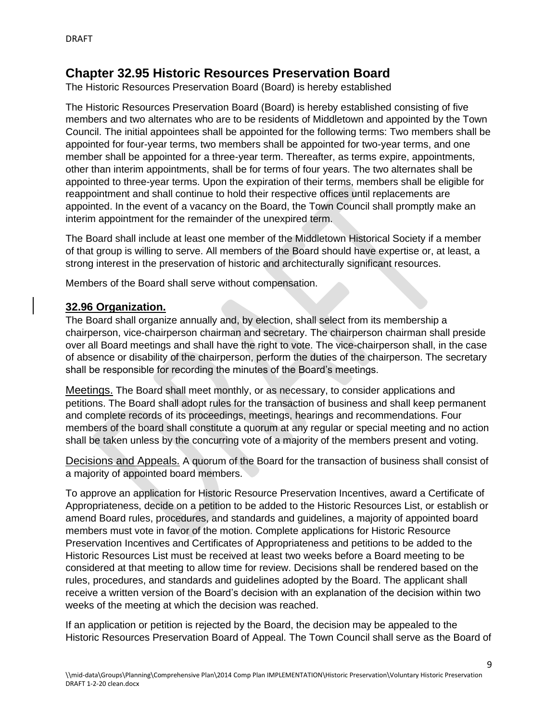#### **Chapter 32.95 Historic Resources Preservation Board**

The Historic Resources Preservation Board (Board) is hereby established

The Historic Resources Preservation Board (Board) is hereby established consisting of five members and two alternates who are to be residents of Middletown and appointed by the Town Council. The initial appointees shall be appointed for the following terms: Two members shall be appointed for four-year terms, two members shall be appointed for two-year terms, and one member shall be appointed for a three-year term. Thereafter, as terms expire, appointments, other than interim appointments, shall be for terms of four years. The two alternates shall be appointed to three-year terms. Upon the expiration of their terms, members shall be eligible for reappointment and shall continue to hold their respective offices until replacements are appointed. In the event of a vacancy on the Board, the Town Council shall promptly make an interim appointment for the remainder of the unexpired term.

The Board shall include at least one member of the Middletown Historical Society if a member of that group is willing to serve. All members of the Board should have expertise or, at least, a strong interest in the preservation of historic and architecturally significant resources.

Members of the Board shall serve without compensation.

#### **32.96 Organization.**

The Board shall organize annually and, by election, shall select from its membership a chairperson, vice-chairperson chairman and secretary. The chairperson chairman shall preside over all Board meetings and shall have the right to vote. The vice-chairperson shall, in the case of absence or disability of the chairperson, perform the duties of the chairperson. The secretary shall be responsible for recording the minutes of the Board's meetings.

Meetings. The Board shall meet monthly, or as necessary, to consider applications and petitions. The Board shall adopt rules for the transaction of business and shall keep permanent and complete records of its proceedings, meetings, hearings and recommendations. Four members of the board shall constitute a quorum at any regular or special meeting and no action shall be taken unless by the concurring vote of a majority of the members present and voting.

Decisions and Appeals. A quorum of the Board for the transaction of business shall consist of a majority of appointed board members.

To approve an application for Historic Resource Preservation Incentives, award a Certificate of Appropriateness, decide on a petition to be added to the Historic Resources List, or establish or amend Board rules, procedures, and standards and guidelines, a majority of appointed board members must vote in favor of the motion. Complete applications for Historic Resource Preservation Incentives and Certificates of Appropriateness and petitions to be added to the Historic Resources List must be received at least two weeks before a Board meeting to be considered at that meeting to allow time for review. Decisions shall be rendered based on the rules, procedures, and standards and guidelines adopted by the Board. The applicant shall receive a written version of the Board's decision with an explanation of the decision within two weeks of the meeting at which the decision was reached.

If an application or petition is rejected by the Board, the decision may be appealed to the Historic Resources Preservation Board of Appeal. The Town Council shall serve as the Board of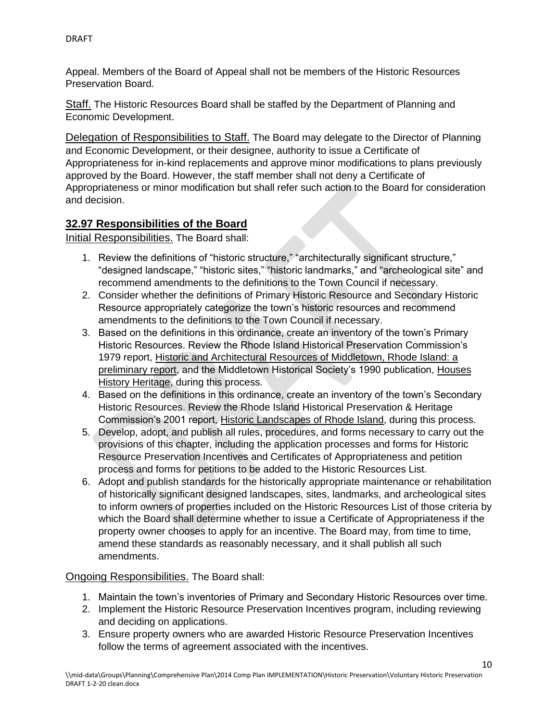Appeal. Members of the Board of Appeal shall not be members of the Historic Resources Preservation Board.

Staff. The Historic Resources Board shall be staffed by the Department of Planning and Economic Development.

Delegation of Responsibilities to Staff. The Board may delegate to the Director of Planning and Economic Development, or their designee, authority to issue a Certificate of Appropriateness for in-kind replacements and approve minor modifications to plans previously approved by the Board. However, the staff member shall not deny a Certificate of Appropriateness or minor modification but shall refer such action to the Board for consideration and decision.

#### **32.97 Responsibilities of the Board**

Initial Responsibilities. The Board shall:

- 1. Review the definitions of "historic structure," "architecturally significant structure," "designed landscape," "historic sites," "historic landmarks," and "archeological site" and recommend amendments to the definitions to the Town Council if necessary.
- 2. Consider whether the definitions of Primary Historic Resource and Secondary Historic Resource appropriately categorize the town's historic resources and recommend amendments to the definitions to the Town Council if necessary.
- 3. Based on the definitions in this ordinance, create an inventory of the town's Primary Historic Resources. Review the Rhode Island Historical Preservation Commission's 1979 report, Historic and Architectural Resources of Middletown, Rhode Island: a preliminary report, and the Middletown Historical Society's 1990 publication, Houses History Heritage, during this process.
- 4. Based on the definitions in this ordinance, create an inventory of the town's Secondary Historic Resources. Review the Rhode Island Historical Preservation & Heritage Commission's 2001 report, Historic Landscapes of Rhode Island, during this process.
- 5. Develop, adopt, and publish all rules, procedures, and forms necessary to carry out the provisions of this chapter, including the application processes and forms for Historic Resource Preservation Incentives and Certificates of Appropriateness and petition process and forms for petitions to be added to the Historic Resources List.
- 6. Adopt and publish standards for the historically appropriate maintenance or rehabilitation of historically significant designed landscapes, sites, landmarks, and archeological sites to inform owners of properties included on the Historic Resources List of those criteria by which the Board shall determine whether to issue a Certificate of Appropriateness if the property owner chooses to apply for an incentive. The Board may, from time to time, amend these standards as reasonably necessary, and it shall publish all such amendments.

Ongoing Responsibilities. The Board shall:

- 1. Maintain the town's inventories of Primary and Secondary Historic Resources over time.
- 2. Implement the Historic Resource Preservation Incentives program, including reviewing and deciding on applications.
- 3. Ensure property owners who are awarded Historic Resource Preservation Incentives follow the terms of agreement associated with the incentives.

10